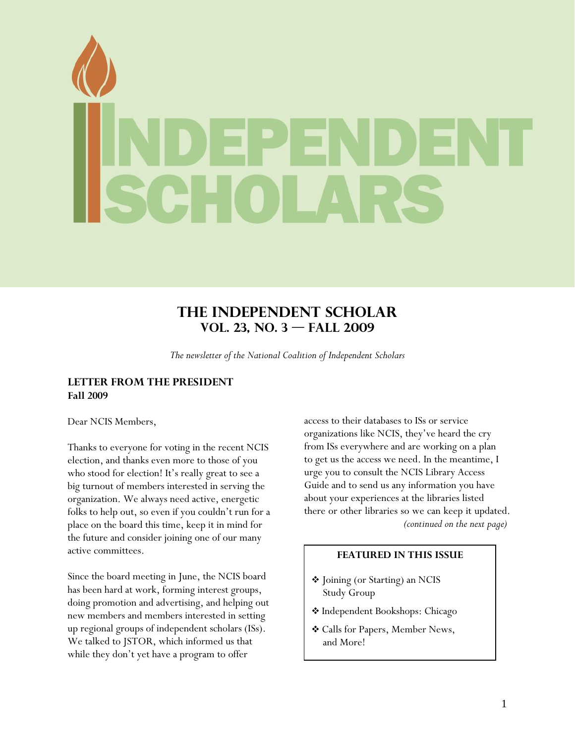# **The Independent Scholar Vol. 23, No. 3 — Fall 2009**

*The newsletter of the National Coalition of Independent Scholars* 

# **LETTER FROM THE PRESIDENT Fall 2009**

Dear NCIS Members,

Thanks to everyone for voting in the recent NCIS election, and thanks even more to those of you who stood for election! It's really great to see a big turnout of members interested in serving the organization. We always need active, energetic folks to help out, so even if you couldn't run for a place on the board this time, keep it in mind for the future and consider joining one of our many active committees.

Since the board meeting in June, the NCIS board has been hard at work, forming interest groups, doing promotion and advertising, and helping out new members and members interested in setting up regional groups of independent scholars (ISs). We talked to JSTOR, which informed us that while they don't yet have a program to offer

access to their databases to ISs or service organizations like NCIS, they've heard the cry from ISs everywhere and are working on a plan to get us the access we need. In the meantime, I urge you to consult the NCIS Library Access Guide and to send us any information you have about your experiences at the libraries listed there or other libraries so we can keep it updated. *(continued on the next page)* 

# **FEATURED IN THIS ISSUE**

- Joining (or Starting) an NCIS Study Group
- Independent Bookshops: Chicago
- Calls for Papers, Member News, and More!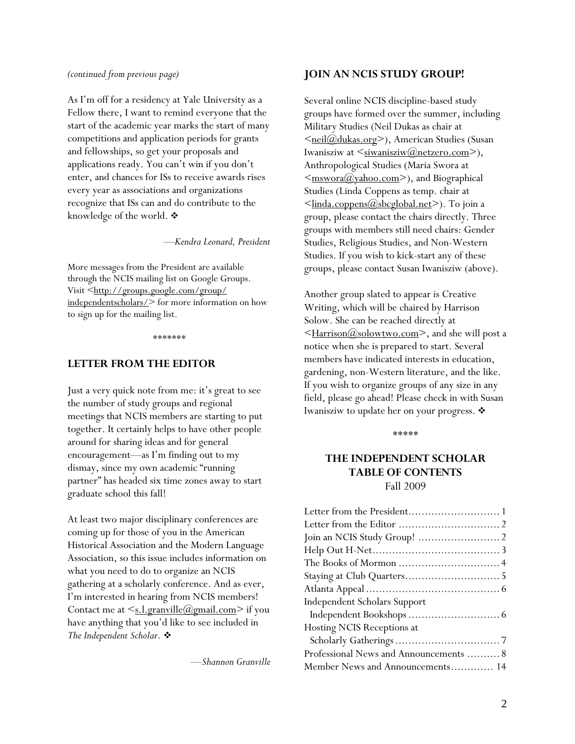#### *(continued from previous page)*

As I'm off for a residency at Yale University as a Fellow there, I want to remind everyone that the start of the academic year marks the start of many competitions and application periods for grants and fellowships, so get your proposals and applications ready. You can't win if you don't enter, and chances for ISs to receive awards rises every year as associations and organizations recognize that ISs can and do contribute to the knowledge of the world.  $\clubsuit$ 

—*Kendra Leonard, President*

More messages from the President are available through the NCIS mailing list on Google Groups. Visit <http://groups.google.com/group/ independentscholars/> for more information on how to sign up for the mailing list.

*\*\*\*\*\*\*\** 

#### **LETTER FROM THE EDITOR**

Just a very quick note from me: it's great to see the number of study groups and regional meetings that NCIS members are starting to put together. It certainly helps to have other people around for sharing ideas and for general encouragement—as I'm finding out to my dismay, since my own academic "running partner" has headed six time zones away to start graduate school this fall!

At least two major disciplinary conferences are coming up for those of you in the American Historical Association and the Modern Language Association, so this issue includes information on what you need to do to organize an NCIS gathering at a scholarly conference. And as ever, I'm interested in hearing from NCIS members! Contact me at  $\leq s.l.$  granville  $(\partial_{g})$  gmail.com > if you have anything that you'd like to see included in *The Independent Scholar*.

—*Shannon Granville* 

#### **JOIN AN NCIS STUDY GROUP!**

Several online NCIS discipline-based study groups have formed over the summer, including Military Studies (Neil Dukas as chair at <meil@dukas.org>), American Studies (Susan Iwanisziw at  $\leq$ <u>siwanisziw</u> $(\omega)$ netzero.com>), Anthropological Studies (Maria Swora at  $\leq$ mswora $\omega$ yahoo.com>), and Biographical Studies (Linda Coppens as temp. chair at  $\leq$ linda.coppens $\omega$ sbcglobal.net $\geq$ ). To join a group, please contact the chairs directly. Three groups with members still need chairs: Gender Studies, Religious Studies, and Non-Western Studies. If you wish to kick-start any of these groups, please contact Susan Iwanisziw (above).

Another group slated to appear is Creative Writing, which will be chaired by Harrison Solow. She can be reached directly at <Harrison@solowtwo.com>, and she will post a notice when she is prepared to start. Several members have indicated interests in education, gardening, non-Western literature, and the like. If you wish to organize groups of any size in any field, please go ahead! Please check in with Susan Iwanisziw to update her on your progress.

\*\*\*\*\*

# **THE INDEPENDENT SCHOLAR TABLE OF CONTENTS**  Fall 2009

| Independent Scholars Support           |
|----------------------------------------|
|                                        |
| Hosting NCIS Receptions at             |
|                                        |
| Professional News and Announcements  8 |
| Member News and Announcements 14       |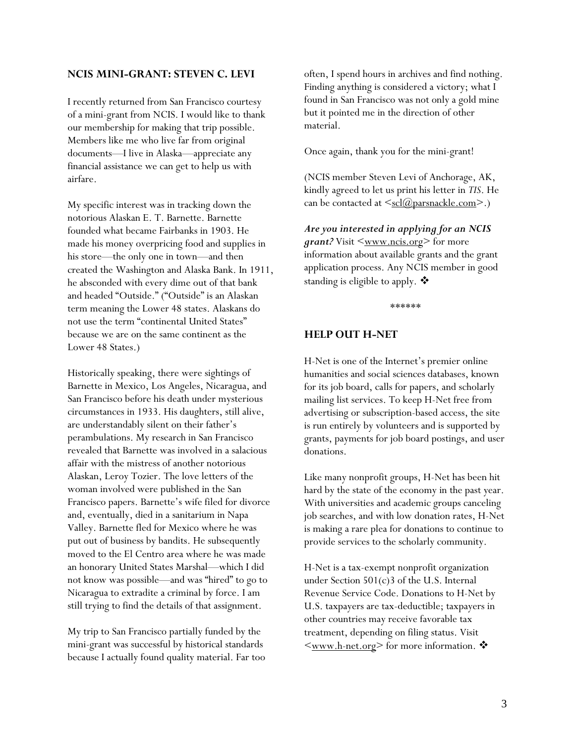#### **NCIS MINI-GRANT: STEVEN C. LEVI**

I recently returned from San Francisco courtesy of a mini-grant from NCIS. I would like to thank our membership for making that trip possible. Members like me who live far from original documents—I live in Alaska—appreciate any financial assistance we can get to help us with airfare.

My specific interest was in tracking down the notorious Alaskan E. T. Barnette. Barnette founded what became Fairbanks in 1903. He made his money overpricing food and supplies in his store—the only one in town—and then created the Washington and Alaska Bank. In 1911, he absconded with every dime out of that bank and headed "Outside." ("Outside" is an Alaskan term meaning the Lower 48 states. Alaskans do not use the term "continental United States" because we are on the same continent as the Lower 48 States.)

Historically speaking, there were sightings of Barnette in Mexico, Los Angeles, Nicaragua, and San Francisco before his death under mysterious circumstances in 1933. His daughters, still alive, are understandably silent on their father's perambulations. My research in San Francisco revealed that Barnette was involved in a salacious affair with the mistress of another notorious Alaskan, Leroy Tozier. The love letters of the woman involved were published in the San Francisco papers. Barnette's wife filed for divorce and, eventually, died in a sanitarium in Napa Valley. Barnette fled for Mexico where he was put out of business by bandits. He subsequently moved to the El Centro area where he was made an honorary United States Marshal—which I did not know was possible—and was "hired" to go to Nicaragua to extradite a criminal by force. I am still trying to find the details of that assignment.

My trip to San Francisco partially funded by the mini-grant was successful by historical standards because I actually found quality material. Far too often, I spend hours in archives and find nothing. Finding anything is considered a victory; what I found in San Francisco was not only a gold mine but it pointed me in the direction of other material.

Once again, thank you for the mini-grant!

(NCIS member Steven Levi of Anchorage, AK, kindly agreed to let us print his letter in *TIS*. He can be contacted at  $\leq_{\text{scl}}(a)$  parsnackle.com>.)

*Are you interested in applying for an NCIS grant?* Visit  $\leq$ <u>www.ncis.org</u>> for more information about available grants and the grant application process. Any NCIS member in good standing is eligible to apply.  $\clubsuit$ 

\*\*\*\*\*\*

## **HELP OUT H-NET**

H-Net is one of the Internet's premier online humanities and social sciences databases, known for its job board, calls for papers, and scholarly mailing list services. To keep H-Net free from advertising or subscription-based access, the site is run entirely by volunteers and is supported by grants, payments for job board postings, and user donations.

Like many nonprofit groups, H-Net has been hit hard by the state of the economy in the past year. With universities and academic groups canceling job searches, and with low donation rates, H-Net is making a rare plea for donations to continue to provide services to the scholarly community.

H-Net is a tax-exempt nonprofit organization under Section 501(c)3 of the U.S. Internal Revenue Service Code. Donations to H-Net by U.S. taxpayers are tax-deductible; taxpayers in other countries may receive favorable tax treatment, depending on filing status. Visit  $\leq_{\text{www.h-net.org}}$  for more information.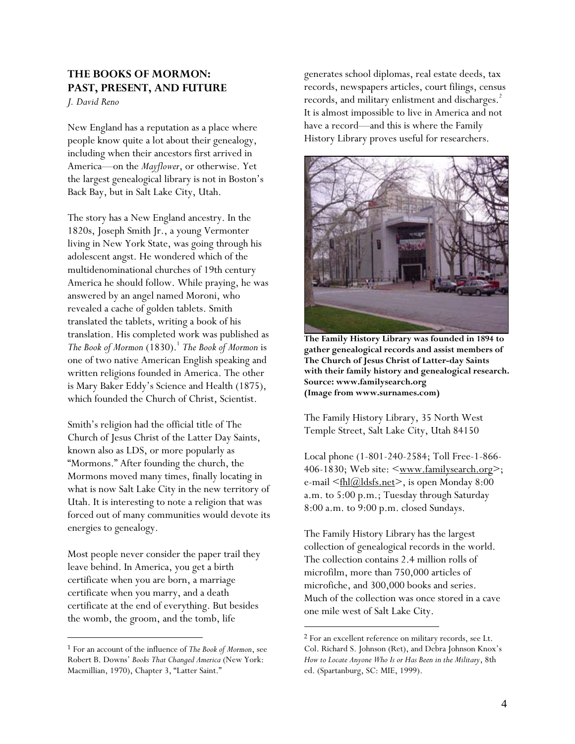# **THE BOOKS OF MORMON: PAST, PRESENT, AND FUTURE**

*J. David Reno* 

New England has a reputation as a place where people know quite a lot about their genealogy, including when their ancestors first arrived in America—on the *Mayflower*, or otherwise. Yet the largest genealogical library is not in Boston's Back Bay, but in Salt Lake City, Utah.

The story has a New England ancestry. In the 1820s, Joseph Smith Jr., a young Vermonter living in New York State, was going through his adolescent angst. He wondered which of the multidenominational churches of 19th century America he should follow. While praying, he was answered by an angel named Moroni, who revealed a cache of golden tablets. Smith translated the tablets, writing a book of his translation. His completed work was published as *The Book of Mormon* (1830).<sup>1</sup> *The Book of Mormon* is one of two native American English speaking and written religions founded in America. The other is Mary Baker Eddy's Science and Health (1875), which founded the Church of Christ, Scientist.

Smith's religion had the official title of The Church of Jesus Christ of the Latter Day Saints, known also as LDS, or more popularly as "Mormons." After founding the church, the Mormons moved many times, finally locating in what is now Salt Lake City in the new territory of Utah. It is interesting to note a religion that was forced out of many communities would devote its energies to genealogy.

Most people never consider the paper trail they leave behind. In America, you get a birth certificate when you are born, a marriage certificate when you marry, and a death certificate at the end of everything. But besides the womb, the groom, and the tomb, life

 $\overline{a}$ 

generates school diplomas, real estate deeds, tax records, newspapers articles, court filings, census records, and military enlistment and discharges.<sup>2</sup> It is almost impossible to live in America and not have a record—and this is where the Family History Library proves useful for researchers.



**The Family History Library was founded in 1894 to gather genealogical records and assist members of The Church of Jesus Christ of Latter-day Saints with their family history and genealogical research. Source: www.familysearch.org (Image from www.surnames.com)** 

The Family History Library, 35 North West Temple Street, Salt Lake City, Utah 84150

Local phone (1-801-240-2584; Toll Free-1-866- 406-1830; Web site: <www.familysearch.org>; e-mail  $\leq$ fhl $\left(\frac{\partial}{\partial s}\right)$ dsfs.net $\geq$ , is open Monday 8:00 a.m. to 5:00 p.m.; Tuesday through Saturday 8:00 a.m. to 9:00 p.m. closed Sundays.

The Family History Library has the largest collection of genealogical records in the world. The collection contains 2.4 million rolls of microfilm, more than 750,000 articles of microfiche, and 300,000 books and series. Much of the collection was once stored in a cave one mile west of Salt Lake City.

 $\overline{a}$ 

<sup>1</sup> For an account of the influence of *The Book of Mormon*, see Robert B. Downs' *Books That Changed America* (New York: Macmillian, 1970), Chapter 3, "Latter Saint."

<sup>2</sup> For an excellent reference on military records, see Lt. Col. Richard S. Johnson (Ret), and Debra Johnson Knox's *How to Locate Anyone Who Is or Has Been in the Military*, 8th ed. (Spartanburg, SC: MIE, 1999).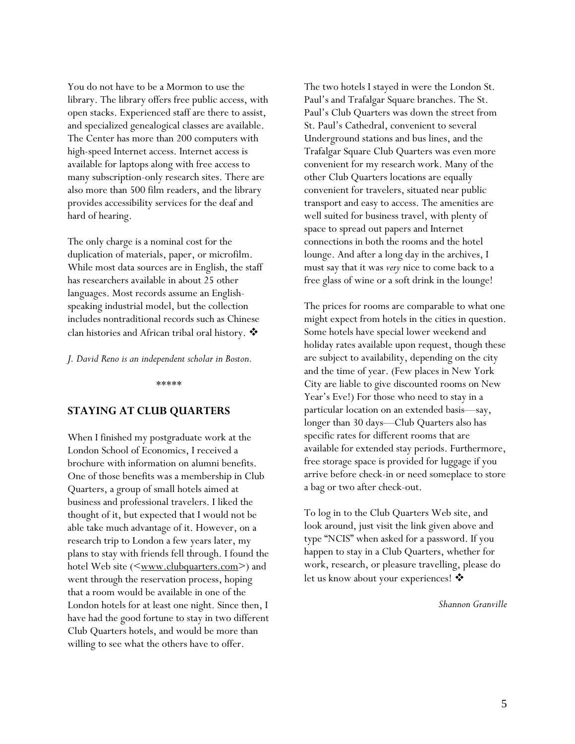You do not have to be a Mormon to use the library. The library offers free public access, with open stacks. Experienced staff are there to assist, and specialized genealogical classes are available. The Center has more than 200 computers with high-speed Internet access. Internet access is available for laptops along with free access to many subscription-only research sites. There are also more than 500 film readers, and the library provides accessibility services for the deaf and hard of hearing.

The only charge is a nominal cost for the duplication of materials, paper, or microfilm. While most data sources are in English, the staff has researchers available in about 25 other languages. Most records assume an Englishspeaking industrial model, but the collection includes nontraditional records such as Chinese clan histories and African tribal oral history.

*J. David Reno is an independent scholar in Boston.* 

\*\*\*\*\*

# **STAYING AT CLUB QUARTERS**

When I finished my postgraduate work at the London School of Economics, I received a brochure with information on alumni benefits. One of those benefits was a membership in Club Quarters, a group of small hotels aimed at business and professional travelers. I liked the thought of it, but expected that I would not be able take much advantage of it. However, on a research trip to London a few years later, my plans to stay with friends fell through. I found the hotel Web site  $(\leq_{\text{www.clubquarters.com}})$  and went through the reservation process, hoping that a room would be available in one of the London hotels for at least one night. Since then, I have had the good fortune to stay in two different Club Quarters hotels, and would be more than willing to see what the others have to offer.

The two hotels I stayed in were the London St. Paul's and Trafalgar Square branches. The St. Paul's Club Quarters was down the street from St. Paul's Cathedral, convenient to several Underground stations and bus lines, and the Trafalgar Square Club Quarters was even more convenient for my research work. Many of the other Club Quarters locations are equally convenient for travelers, situated near public transport and easy to access. The amenities are well suited for business travel, with plenty of space to spread out papers and Internet connections in both the rooms and the hotel lounge. And after a long day in the archives, I must say that it was *very* nice to come back to a free glass of wine or a soft drink in the lounge!

The prices for rooms are comparable to what one might expect from hotels in the cities in question. Some hotels have special lower weekend and holiday rates available upon request, though these are subject to availability, depending on the city and the time of year. (Few places in New York City are liable to give discounted rooms on New Year's Eve!) For those who need to stay in a particular location on an extended basis—say, longer than 30 days—Club Quarters also has specific rates for different rooms that are available for extended stay periods. Furthermore, free storage space is provided for luggage if you arrive before check-in or need someplace to store a bag or two after check-out.

To log in to the Club Quarters Web site, and look around, just visit the link given above and type "NCIS" when asked for a password. If you happen to stay in a Club Quarters, whether for work, research, or pleasure travelling, please do let us know about your experiences! ❖

*Shannon Granville*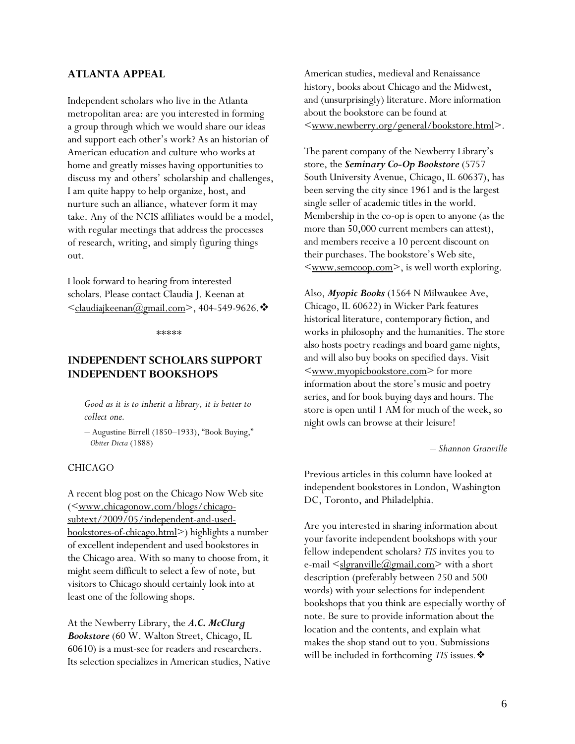## **ATLANTA APPEAL**

Independent scholars who live in the Atlanta metropolitan area: are you interested in forming a group through which we would share our ideas and support each other's work? As an historian of American education and culture who works at home and greatly misses having opportunities to discuss my and others' scholarship and challenges, I am quite happy to help organize, host, and nurture such an alliance, whatever form it may take. Any of the NCIS affiliates would be a model, with regular meetings that address the processes of research, writing, and simply figuring things out.

I look forward to hearing from interested scholars. Please contact Claudia J. Keenan at  $\leq$ claudiajkeenan $\omega$ gmail.com>, 404-549-9626.  $\cdot$ 

\*\*\*\*\*

# **INDEPENDENT SCHOLARS SUPPORT INDEPENDENT BOOKSHOPS**

*Good as it is to inherit a library, it is better to collect one.* 

*–* Augustine Birrell (1850–1933), "Book Buying,"  *Obiter Dicta* (1888)

#### CHICAGO

A recent blog post on the Chicago Now Web site (<www.chicagonow.com/blogs/chicagosubtext/2009/05/independent-and-usedbookstores-of-chicago.html>) highlights a number of excellent independent and used bookstores in the Chicago area. With so many to choose from, it might seem difficult to select a few of note, but visitors to Chicago should certainly look into at least one of the following shops.

At the Newberry Library, the *A.C. McClurg Bookstore* (60 W. Walton Street, Chicago, IL 60610) is a must-see for readers and researchers. Its selection specializes in American studies, Native American studies, medieval and Renaissance history, books about Chicago and the Midwest, and (unsurprisingly) literature. More information about the bookstore can be found at <www.newberry.org/general/bookstore.html>.

The parent company of the Newberry Library's store, the *Seminary Co-Op Bookstore* (5757 South University Avenue, Chicago, IL 60637), has been serving the city since 1961 and is the largest single seller of academic titles in the world. Membership in the co-op is open to anyone (as the more than 50,000 current members can attest), and members receive a 10 percent discount on their purchases. The bookstore's Web site,  $\leq$ www.semcoop.com>, is well worth exploring.

Also, *Myopic Books* (1564 N Milwaukee Ave, Chicago, IL 60622) in Wicker Park features historical literature, contemporary fiction, and works in philosophy and the humanities. The store also hosts poetry readings and board game nights, and will also buy books on specified days. Visit <www.myopicbookstore.com> for more information about the store's music and poetry series, and for book buying days and hours. The store is open until 1 AM for much of the week, so night owls can browse at their leisure!

*– Shannon Granville* 

Previous articles in this column have looked at independent bookstores in London, Washington DC, Toronto, and Philadelphia.

Are you interested in sharing information about your favorite independent bookshops with your fellow independent scholars? *TIS* invites you to e-mail  $\leq$ <u>slgranville@gmail.com</u>> with a short description (preferably between 250 and 500 words) with your selections for independent bookshops that you think are especially worthy of note. Be sure to provide information about the location and the contents, and explain what makes the shop stand out to you. Submissions will be included in forthcoming *TIS* issues*.*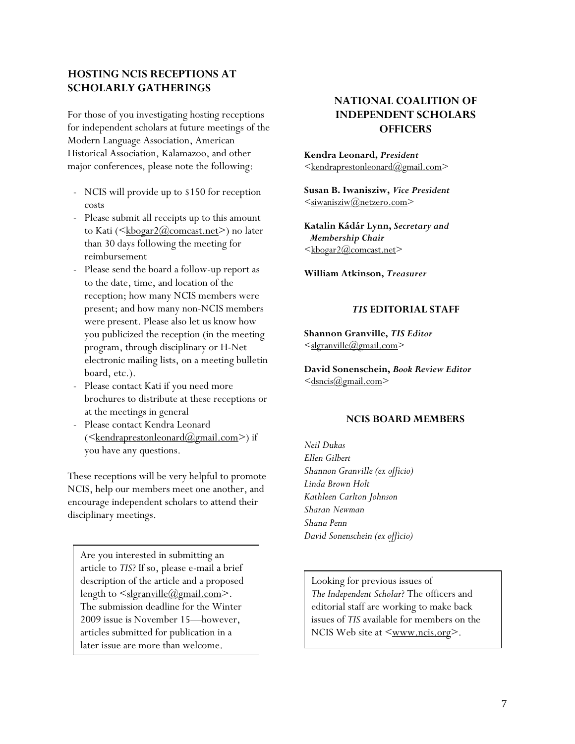# **HOSTING NCIS RECEPTIONS AT SCHOLARLY GATHERINGS**

For those of you investigating hosting receptions for independent scholars at future meetings of the Modern Language Association, American Historical Association, Kalamazoo, and other major conferences, please note the following:

- NCIS will provide up to \$150 for reception costs
- Please submit all receipts up to this amount to Kati ( $\leq k\frac{\text{bogar2}(a)$ comcast.net $\geq$ ) no later than 30 days following the meeting for reimbursement
- Please send the board a follow-up report as to the date, time, and location of the reception; how many NCIS members were present; and how many non-NCIS members were present. Please also let us know how you publicized the reception (in the meeting program, through disciplinary or H-Net electronic mailing lists, on a meeting bulletin board, etc.).
- Please contact Kati if you need more brochures to distribute at these receptions or at the meetings in general
- Please contact Kendra Leonard  $(\leq$ kendraprestonleonard $(\mathcal{Q}_{\text{gmail.com}})$  if you have any questions.

These receptions will be very helpful to promote NCIS, help our members meet one another, and encourage independent scholars to attend their disciplinary meetings.

Are you interested in submitting an article to *TIS*? If so, please e-mail a brief description of the article and a proposed length to  $\leq$ slgranville@gmail.com>. The submission deadline for the Winter 2009 issue is November 15—however, articles submitted for publication in a later issue are more than welcome.

# **NATIONAL COALITION OF INDEPENDENT SCHOLARS OFFICERS**

**Kendra Leonard,** *President*  $\leq$ kendraprestonleonard $@g$ mail.com $>$ 

**Susan B. Iwanisziw,** *Vice President*   $\leq$ siwanisziw $@$ netzero.com $>$ 

**Katalin Kádár Lynn,** *Secretary and Membership Chair*   $\leq$ <u>kbogar2@comcast.net</u>

**William Atkinson,** *Treasurer*

#### *TIS* **EDITORIAL STAFF**

**Shannon Granville,** *TIS Editor* <slgranville@gmail.com>

**David Sonenschein,** *Book Review Editor*  $\leq$ dsncis $\omega$ gmail.com>

#### **NCIS BOARD MEMBERS**

*Neil Dukas Ellen Gilbert Shannon Granville (ex officio) Linda Brown Holt Kathleen Carlton Johnson Sharan Newman Shana Penn David Sonenschein (ex officio)*

Looking for previous issues of *The Independent Scholar*? The officers and editorial staff are working to make back issues of *TIS* available for members on the NCIS Web site at  $\leq_{\text{www.ncis.org}}$ .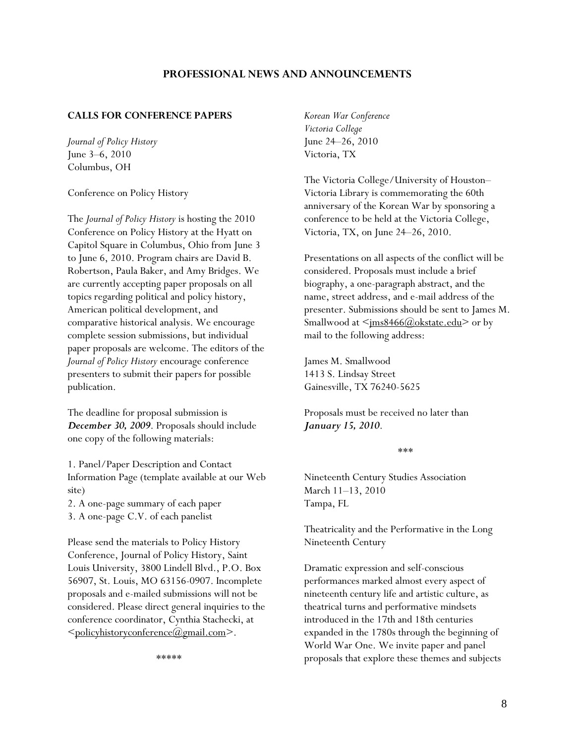## **PROFESSIONAL NEWS AND ANNOUNCEMENTS**

#### **CALLS FOR CONFERENCE PAPERS**

*Journal of Policy History*  June 3–6, 2010 Columbus, OH

Conference on Policy History

The *Journal of Policy History* is hosting the 2010 Conference on Policy History at the Hyatt on Capitol Square in Columbus, Ohio from June 3 to June 6, 2010. Program chairs are David B. Robertson, Paula Baker, and Amy Bridges. We are currently accepting paper proposals on all topics regarding political and policy history, American political development, and comparative historical analysis. We encourage complete session submissions, but individual paper proposals are welcome. The editors of the *Journal of Policy History* encourage conference presenters to submit their papers for possible publication.

The deadline for proposal submission is *December 30, 2009*. Proposals should include one copy of the following materials:

1. Panel/Paper Description and Contact Information Page (template available at our Web site)

2. A one-page summary of each paper 3. A one-page C.V. of each panelist

Please send the materials to Policy History Conference, Journal of Policy History, Saint Louis University, 3800 Lindell Blvd., P.O. Box 56907, St. Louis, MO 63156-0907. Incomplete proposals and e-mailed submissions will not be considered. Please direct general inquiries to the conference coordinator, Cynthia Stachecki, at  $\leq$ policyhistoryconference $(\partial_{\alpha})$ gmail.com $\geq$ .

\*\*\*\*\*

*Korean War Conference Victoria College*  June 24–26, 2010 Victoria, TX

The Victoria College/University of Houston– Victoria Library is commemorating the 60th anniversary of the Korean War by sponsoring a conference to be held at the Victoria College, Victoria, TX, on June 24–26, 2010.

Presentations on all aspects of the conflict will be considered. Proposals must include a brief biography, a one-paragraph abstract, and the name, street address, and e-mail address of the presenter. Submissions should be sent to James M. Smallwood at  $\leq$ <u>ms8466@okstate.edu</u>> or by mail to the following address:

James M. Smallwood 1413 S. Lindsay Street Gainesville, TX 76240-5625

Proposals must be received no later than *January 15, 2010*.

\*\*\*

Nineteenth Century Studies Association March 11–13, 2010 Tampa, FL

Theatricality and the Performative in the Long Nineteenth Century

Dramatic expression and self-conscious performances marked almost every aspect of nineteenth century life and artistic culture, as theatrical turns and performative mindsets introduced in the 17th and 18th centuries expanded in the 1780s through the beginning of World War One. We invite paper and panel proposals that explore these themes and subjects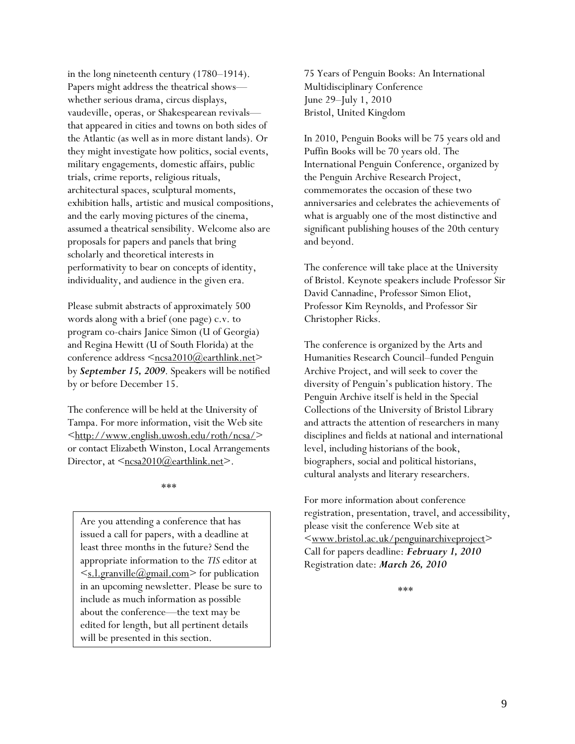in the long nineteenth century (1780–1914). Papers might address the theatrical shows whether serious drama, circus displays, vaudeville, operas, or Shakespearean revivals that appeared in cities and towns on both sides of the Atlantic (as well as in more distant lands). Or they might investigate how politics, social events, military engagements, domestic affairs, public trials, crime reports, religious rituals, architectural spaces, sculptural moments, exhibition halls, artistic and musical compositions, and the early moving pictures of the cinema, assumed a theatrical sensibility. Welcome also are proposals for papers and panels that bring scholarly and theoretical interests in performativity to bear on concepts of identity, individuality, and audience in the given era.

Please submit abstracts of approximately 500 words along with a brief (one page) c.v. to program co-chairs Janice Simon (U of Georgia) and Regina Hewitt (U of South Florida) at the conference address  $\leq_{\text{ncsa2010}(\partial)\text{earthlink.net}}$ by *September 15, 2009*. Speakers will be notified by or before December 15.

The conference will be held at the University of Tampa. For more information, visit the Web site  $\frac{\text{th}}{\text{t}}/$ /www.english.uwosh.edu/roth/ncsa/> or contact Elizabeth Winston, Local Arrangements Director, at  $\leq_{\text{ncsa2010}}(a)$ earthlink.net>.

\*\*\*

Are you attending a conference that has issued a call for papers, with a deadline at least three months in the future? Send the appropriate information to the *TIS* editor at  $\leq$ s.l.granville@gmail.com> for publication in an upcoming newsletter. Please be sure to include as much information as possible about the conference—the text may be edited for length, but all pertinent details will be presented in this section.

75 Years of Penguin Books: An International Multidisciplinary Conference June 29–July 1, 2010 Bristol, United Kingdom

In 2010, Penguin Books will be 75 years old and Puffin Books will be 70 years old. The International Penguin Conference, organized by the Penguin Archive Research Project, commemorates the occasion of these two anniversaries and celebrates the achievements of what is arguably one of the most distinctive and significant publishing houses of the 20th century and beyond.

The conference will take place at the University of Bristol. Keynote speakers include Professor Sir David Cannadine, Professor Simon Eliot, Professor Kim Reynolds, and Professor Sir Christopher Ricks.

The conference is organized by the Arts and Humanities Research Council–funded Penguin Archive Project, and will seek to cover the diversity of Penguin's publication history. The Penguin Archive itself is held in the Special Collections of the University of Bristol Library and attracts the attention of researchers in many disciplines and fields at national and international level, including historians of the book, biographers, social and political historians, cultural analysts and literary researchers.

For more information about conference registration, presentation, travel, and accessibility, please visit the conference Web site at  $\langle www.bristol.ac.uk/penquinarchiveproject \rangle$ Call for papers deadline: *February 1, 2010* Registration date: *March 26, 2010*

\*\*\*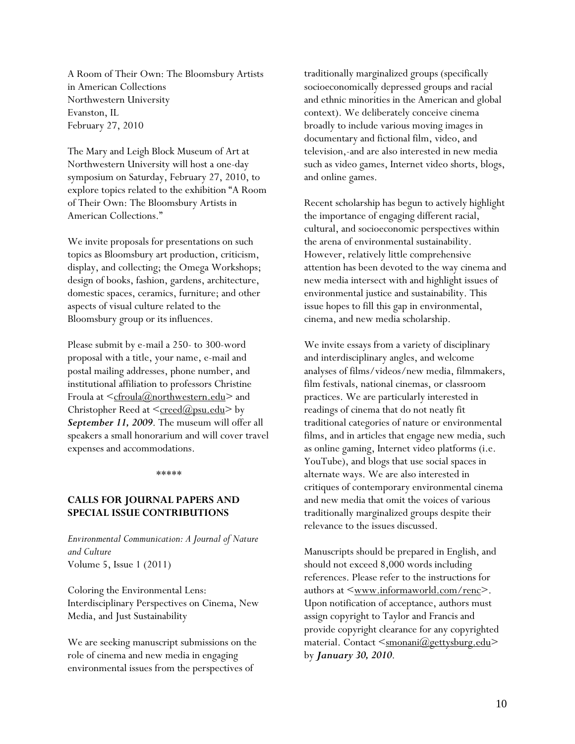A Room of Their Own: The Bloomsbury Artists in American Collections Northwestern University Evanston, IL February 27, 2010

The Mary and Leigh Block Museum of Art at Northwestern University will host a one-day symposium on Saturday, February 27, 2010, to explore topics related to the exhibition "A Room of Their Own: The Bloomsbury Artists in American Collections."

We invite proposals for presentations on such topics as Bloomsbury art production, criticism, display, and collecting; the Omega Workshops; design of books, fashion, gardens, architecture, domestic spaces, ceramics, furniture; and other aspects of visual culture related to the Bloomsbury group or its influences.

Please submit by e-mail a 250- to 300-word proposal with a title, your name, e-mail and postal mailing addresses, phone number, and institutional affiliation to professors Christine Froula at  $\leq cfroula(\partial_{\Omega})$  and  $\leq$  and Christopher Reed at  $\leq$ creed@psu.edu> by *September 11, 2009*. The museum will offer all speakers a small honorarium and will cover travel expenses and accommodations.

#### \*\*\*\*\*

## **CALLS FOR JOURNAL PAPERS AND SPECIAL ISSUE CONTRIBUTIONS**

*Environmental Communication: A Journal of Nature and Culture*  Volume 5, Issue 1 (2011)

Coloring the Environmental Lens: Interdisciplinary Perspectives on Cinema, New Media, and Just Sustainability

We are seeking manuscript submissions on the role of cinema and new media in engaging environmental issues from the perspectives of

traditionally marginalized groups (specifically socioeconomically depressed groups and racial and ethnic minorities in the American and global context). We deliberately conceive cinema broadly to include various moving images in documentary and fictional film, video, and television,-and are also interested in new media such as video games, Internet video shorts, blogs, and online games.

Recent scholarship has begun to actively highlight the importance of engaging different racial, cultural, and socioeconomic perspectives within the arena of environmental sustainability. However, relatively little comprehensive attention has been devoted to the way cinema and new media intersect with and highlight issues of environmental justice and sustainability. This issue hopes to fill this gap in environmental, cinema, and new media scholarship.

We invite essays from a variety of disciplinary and interdisciplinary angles, and welcome analyses of films/videos/new media, filmmakers, film festivals, national cinemas, or classroom practices. We are particularly interested in readings of cinema that do not neatly fit traditional categories of nature or environmental films, and in articles that engage new media, such as online gaming, Internet video platforms (i.e. YouTube), and blogs that use social spaces in alternate ways. We are also interested in critiques of contemporary environmental cinema and new media that omit the voices of various traditionally marginalized groups despite their relevance to the issues discussed.

Manuscripts should be prepared in English, and should not exceed 8,000 words including references. Please refer to the instructions for authors at  $\leq_{\text{www.informaworld.com/renc}}$ . Upon notification of acceptance, authors must assign copyright to Taylor and Francis and provide copyright clearance for any copyrighted material. Contact <smonani@gettysburg.edu> by *January 30, 2010*.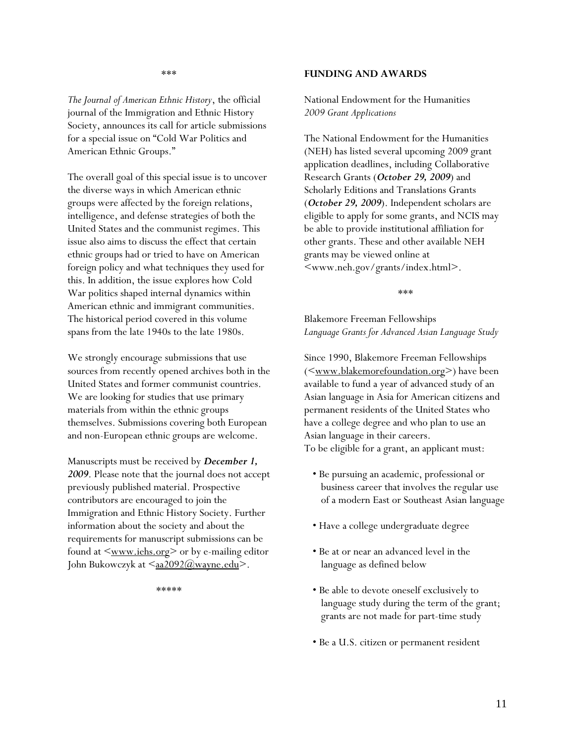#### **FUNDING AND AWARDS**

\*\*\*

*The Journal of American Ethnic History*, the official journal of the Immigration and Ethnic History Society, announces its call for article submissions for a special issue on "Cold War Politics and American Ethnic Groups."

The overall goal of this special issue is to uncover the diverse ways in which American ethnic groups were affected by the foreign relations, intelligence, and defense strategies of both the United States and the communist regimes. This issue also aims to discuss the effect that certain ethnic groups had or tried to have on American foreign policy and what techniques they used for this. In addition, the issue explores how Cold War politics shaped internal dynamics within American ethnic and immigrant communities. The historical period covered in this volume spans from the late 1940s to the late 1980s.

We strongly encourage submissions that use sources from recently opened archives both in the United States and former communist countries. We are looking for studies that use primary materials from within the ethnic groups themselves. Submissions covering both European and non-European ethnic groups are welcome.

Manuscripts must be received by *December 1, 2009*. Please note that the journal does not accept previously published material. Prospective contributors are encouraged to join the Immigration and Ethnic History Society. Further information about the society and about the requirements for manuscript submissions can be found at  $\leq$  www.iehs.org  $>$  or by e-mailing editor John Bukowczyk at <aa2092@wayne.edu>.

\*\*\*\*\*

National Endowment for the Humanities *2009 Grant Applications* 

The National Endowment for the Humanities (NEH) has listed several upcoming 2009 grant application deadlines, including Collaborative Research Grants (*October 29, 2009*) and Scholarly Editions and Translations Grants (*October 29, 2009*). Independent scholars are eligible to apply for some grants, and NCIS may be able to provide institutional affiliation for other grants. These and other available NEH grants may be viewed online at <www.neh.gov/grants/index.html>.

\*\*\*

Blakemore Freeman Fellowships *Language Grants for Advanced Asian Language Study* 

Since 1990, Blakemore Freeman Fellowships (<<u>www.blakemorefoundation.org</u>>) have been available to fund a year of advanced study of an Asian language in Asia for American citizens and permanent residents of the United States who have a college degree and who plan to use an Asian language in their careers. To be eligible for a grant, an applicant must:

- Be pursuing an academic, professional or business career that involves the regular use of a modern East or Southeast Asian language
- Have a college undergraduate degree
- Be at or near an advanced level in the language as defined below
- Be able to devote oneself exclusively to language study during the term of the grant; grants are not made for part-time study
- Be a U.S. citizen or permanent resident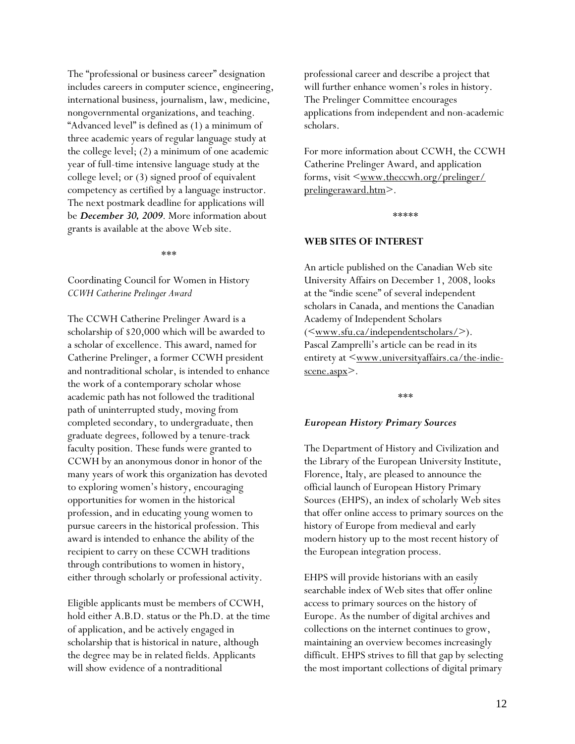The "professional or business career" designation includes careers in computer science, engineering, international business, journalism, law, medicine, nongovernmental organizations, and teaching. "Advanced level" is defined as (1) a minimum of three academic years of regular language study at the college level; (2) a minimum of one academic year of full-time intensive language study at the college level; or (3) signed proof of equivalent competency as certified by a language instructor. The next postmark deadline for applications will be *December 30, 2009*. More information about grants is available at the above Web site.

\*\*\*

Coordinating Council for Women in History *CCWH Catherine Prelinger Award* 

The CCWH Catherine Prelinger Award is a scholarship of \$20,000 which will be awarded to a scholar of excellence. This award, named for Catherine Prelinger, a former CCWH president and nontraditional scholar, is intended to enhance the work of a contemporary scholar whose academic path has not followed the traditional path of uninterrupted study, moving from completed secondary, to undergraduate, then graduate degrees, followed by a tenure-track faculty position. These funds were granted to CCWH by an anonymous donor in honor of the many years of work this organization has devoted to exploring women's history, encouraging opportunities for women in the historical profession, and in educating young women to pursue careers in the historical profession. This award is intended to enhance the ability of the recipient to carry on these CCWH traditions through contributions to women in history, either through scholarly or professional activity.

Eligible applicants must be members of CCWH, hold either A.B.D. status or the Ph.D. at the time of application, and be actively engaged in scholarship that is historical in nature, although the degree may be in related fields. Applicants will show evidence of a nontraditional

professional career and describe a project that will further enhance women's roles in history. The Prelinger Committee encourages applications from independent and non-academic scholars.

For more information about CCWH, the CCWH Catherine Prelinger Award, and application forms, visit  $\leq_{\text{www.}theccwh.org/prelinger/}$ prelingeraward.htm>.

\*\*\*\*\*

#### **WEB SITES OF INTEREST**

An article published on the Canadian Web site University Affairs on December 1, 2008, looks at the "indie scene" of several independent scholars in Canada, and mentions the Canadian Academy of Independent Scholars  $(\leq_{www.stu.ca/index/independent scholars/>)$ . Pascal Zamprelli's article can be read in its entirety at  $\leq_{\text{www.universityaffairs.ca/the-indie-}}$ scene.aspx>.

\*\*\*

#### *European History Primary Sources*

The Department of History and Civilization and the Library of the European University Institute, Florence, Italy, are pleased to announce the official launch of European History Primary Sources (EHPS), an index of scholarly Web sites that offer online access to primary sources on the history of Europe from medieval and early modern history up to the most recent history of the European integration process.

EHPS will provide historians with an easily searchable index of Web sites that offer online access to primary sources on the history of Europe. As the number of digital archives and collections on the internet continues to grow, maintaining an overview becomes increasingly difficult. EHPS strives to fill that gap by selecting the most important collections of digital primary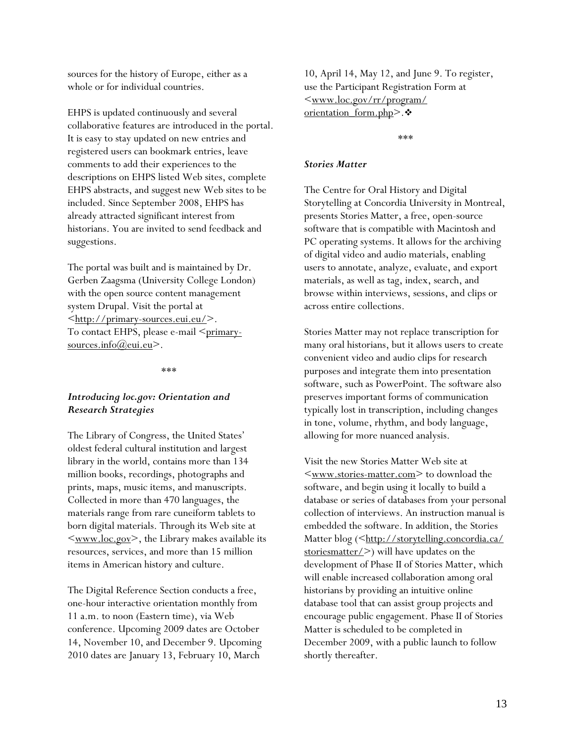sources for the history of Europe, either as a whole or for individual countries.

EHPS is updated continuously and several collaborative features are introduced in the portal. It is easy to stay updated on new entries and registered users can bookmark entries, leave comments to add their experiences to the descriptions on EHPS listed Web sites, complete EHPS abstracts, and suggest new Web sites to be included. Since September 2008, EHPS has already attracted significant interest from historians. You are invited to send feedback and suggestions.

The portal was built and is maintained by Dr. Gerben Zaagsma (University College London) with the open source content management system Drupal. Visit the portal at  $\langle \frac{\text{http://primary-sources.eu.eu/>}}{\text{http://primary-sources.eu.eu/>}.$ To contact EHPS, please e-mail <primarysources.info@eui.eu>.

\*\*\*

# *Introducing loc.gov: Orientation and Research Strategies*

The Library of Congress, the United States' oldest federal cultural institution and largest library in the world, contains more than 134 million books, recordings, photographs and prints, maps, music items, and manuscripts. Collected in more than 470 languages, the materials range from rare cuneiform tablets to born digital materials. Through its Web site at  $\langle www.loc.gov\rangle$ , the Library makes available its resources, services, and more than 15 million items in American history and culture.

The Digital Reference Section conducts a free, one-hour interactive orientation monthly from 11 a.m. to noon (Eastern time), via Web conference. Upcoming 2009 dates are October 14, November 10, and December 9. Upcoming 2010 dates are January 13, February 10, March

10, April 14, May 12, and June 9. To register, use the Participant Registration Form at  $\langle$ www.loc.gov/rr/program/ orientation\_form.php>.

\*\*\*

#### *Stories Matter*

The Centre for Oral History and Digital Storytelling at Concordia University in Montreal, presents Stories Matter, a free, open-source software that is compatible with Macintosh and PC operating systems. It allows for the archiving of digital video and audio materials, enabling users to annotate, analyze, evaluate, and export materials, as well as tag, index, search, and browse within interviews, sessions, and clips or across entire collections.

Stories Matter may not replace transcription for many oral historians, but it allows users to create convenient video and audio clips for research purposes and integrate them into presentation software, such as PowerPoint. The software also preserves important forms of communication typically lost in transcription, including changes in tone, volume, rhythm, and body language, allowing for more nuanced analysis.

Visit the new Stories Matter Web site at <www.stories-matter.com> to download the software, and begin using it locally to build a database or series of databases from your personal collection of interviews. An instruction manual is embedded the software. In addition, the Stories Matter blog (<http://storytelling.concordia.ca/ stories matter/>) will have updates on the development of Phase II of Stories Matter, which will enable increased collaboration among oral historians by providing an intuitive online database tool that can assist group projects and encourage public engagement. Phase II of Stories Matter is scheduled to be completed in December 2009, with a public launch to follow shortly thereafter.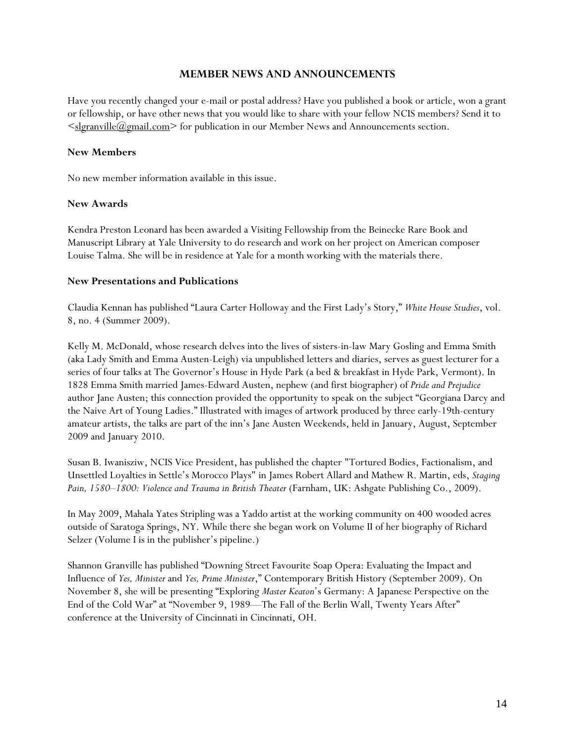# **MEMBER NEWS AND ANNOUNCEMENTS**

Have you recently changed your e-mail or postal address? Have you published a book or article, won a grant or fellowship, or have other news that you would like to share with your fellow NCIS members? Send it to  $\leq$ slgranville@gmail.com $\geq$  for publication in our Member News and Announcements section.

## **New Members**

No new member information available in this issue.

## **New Awards**

Kendra Preston Leonard has been awarded a Visiting Fellowship from the Beinecke Rare Book and Manuscript Library at Yale University to do research and work on her project on American composer Louise Talma. She will be in residence at Yale for a month working with the materials there.

## **New Presentations and Publications**

Claudia Kennan has published "Laura Carter Holloway and the First Lady's Story," *White House Studies*, vol. 8, no. 4 (Summer 2009).

Kelly M. McDonald, whose research delves into the lives of sisters-in-law Mary Gosling and Emma Smith (aka Lady Smith and Emma Austen-Leigh) via unpublished letters and diaries, serves as guest lecturer for a series of four talks at The Governor's House in Hyde Park (a bed & breakfast in Hyde Park, Vermont). In 1828 Emma Smith married James-Edward Austen, nephew (and first biographer) of *Pride and Prejudice* author Jane Austen; this connection provided the opportunity to speak on the subject "Georgiana Darcy and the Naive Art of Young Ladies." Illustrated with images of artwork produced by three early-19th-century amateur artists, the talks are part of the inn's Jane Austen Weekends, held in January, August, September 2009 and January 2010.

Susan B. Iwanisziw, NCIS Vice President, has published the chapter "Tortured Bodies, Factionalism, and Unsettled Loyalties in Settle's Morocco Plays" in James Robert Allard and Mathew R. Martin, eds, *Staging*  Pain, 1580–1800: Violence and Trauma in British Theater (Farnham, UK: Ashgate Publishing Co., 2009).

In May 2009, Mahala Yates Stripling was a Yaddo artist at the working community on 400 wooded acres outside of Saratoga Springs, NY. While there she began work on Volume II of her biography of Richard Selzer (Volume I is in the publisher's pipeline.)

Shannon Granville has published "Downing Street Favourite Soap Opera: Evaluating the Impact and Influence of *Yes, Minister* and *Yes, Prime Minister*," Contemporary British History (September 2009). On November 8, she will be presenting "Exploring *Master Keaton*'s Germany: A Japanese Perspective on the End of the Cold War" at "November 9, 1989—The Fall of the Berlin Wall, Twenty Years After" conference at the University of Cincinnati in Cincinnati, OH.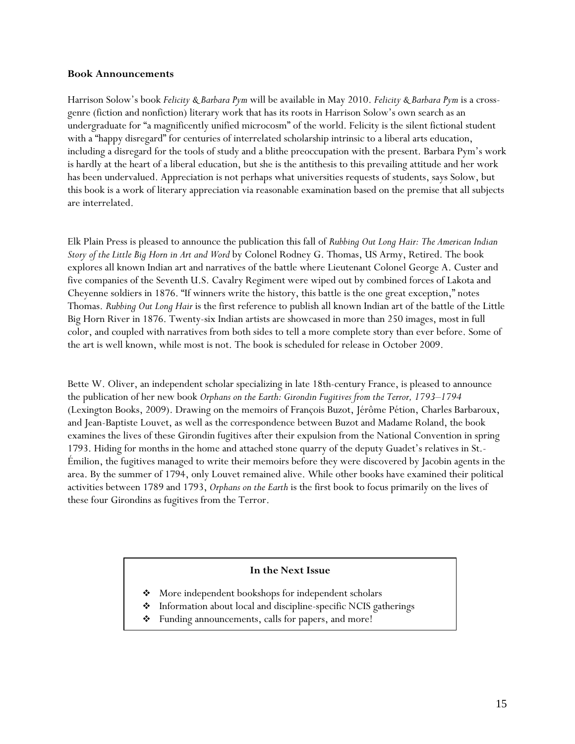#### **Book Announcements**

Harrison Solow's book *Felicity & Barbara Pym* will be available in May 2010. *Felicity & Barbara Pym* is a crossgenre (fiction and nonfiction) literary work that has its roots in Harrison Solow's own search as an undergraduate for "a magnificently unified microcosm" of the world. Felicity is the silent fictional student with a "happy disregard" for centuries of interrelated scholarship intrinsic to a liberal arts education, including a disregard for the tools of study and a blithe preoccupation with the present. Barbara Pym's work is hardly at the heart of a liberal education, but she is the antithesis to this prevailing attitude and her work has been undervalued. Appreciation is not perhaps what universities requests of students, says Solow, but this book is a work of literary appreciation via reasonable examination based on the premise that all subjects are interrelated.

Elk Plain Press is pleased to announce the publication this fall of *Rubbing Out Long Hair: The American Indian Story of the Little Big Horn in Art and Word* by Colonel Rodney G. Thomas, US Army, Retired. The book explores all known Indian art and narratives of the battle where Lieutenant Colonel George A. Custer and five companies of the Seventh U.S. Cavalry Regiment were wiped out by combined forces of Lakota and Cheyenne soldiers in 1876. "If winners write the history, this battle is the one great exception," notes Thomas. *Rubbing Out Long Hair* is the first reference to publish all known Indian art of the battle of the Little Big Horn River in 1876. Twenty-six Indian artists are showcased in more than 250 images, most in full color, and coupled with narratives from both sides to tell a more complete story than ever before. Some of the art is well known, while most is not. The book is scheduled for release in October 2009.

Bette W. Oliver, an independent scholar specializing in late 18th-century France, is pleased to announce the publication of her new book *Orphans on the Earth: Girondin Fugitives from the Terror, 1793–1794* (Lexington Books, 2009). Drawing on the memoirs of François Buzot, Jérôme Pétion, Charles Barbaroux, and Jean-Baptiste Louvet, as well as the correspondence between Buzot and Madame Roland, the book examines the lives of these Girondin fugitives after their expulsion from the National Convention in spring 1793. Hiding for months in the home and attached stone quarry of the deputy Guadet's relatives in St.- Émilion, the fugitives managed to write their memoirs before they were discovered by Jacobin agents in the area. By the summer of 1794, only Louvet remained alive. While other books have examined their political activities between 1789 and 1793, *Orphans on the Earth* is the first book to focus primarily on the lives of these four Girondins as fugitives from the Terror.

#### **In the Next Issue**

- ◆ More independent bookshops for independent scholars
- $\triangleleft$  Information about local and discipline-specific NCIS gatherings
- Funding announcements, calls for papers, and more!